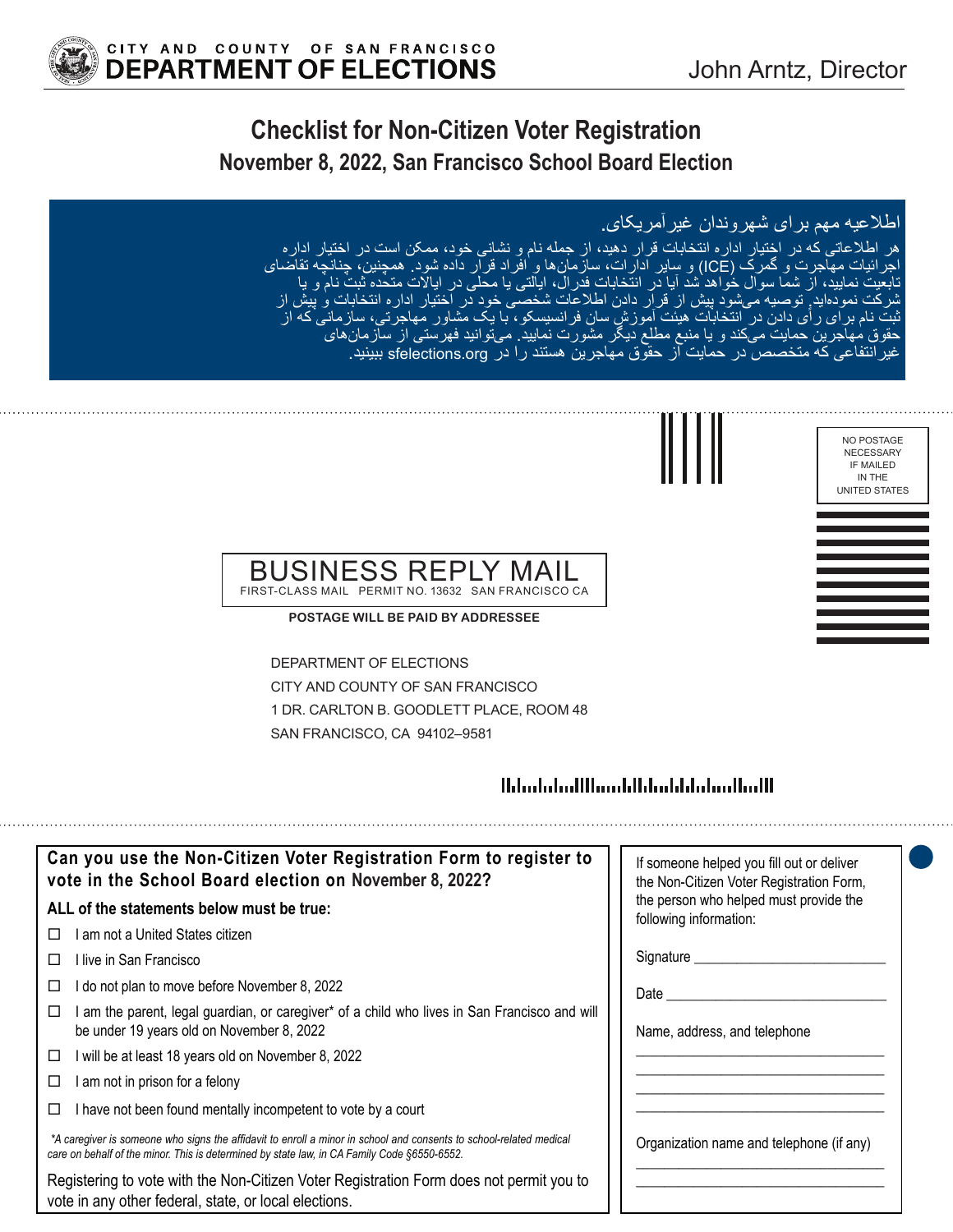NO POSTAGE NECESSARY IF MAILED IN THE UNITED STATES



# **Checklist for Non-Citizen Voter Registration November 8, 2022, San Francisco School Board Election**

### اطالعیه مهم برای شهروندان غیرآمریکای.

هر اطلاعاتی که در اختیار اداره انتخابات قرار دهید، از جمله نام و نشانی خود، ممکن است در اختیار اداره<br>اجرائیات مهاجرت و گمرک (ICE) و سایر ادارات، سازمان۵ها و افراد قرار داده شود<sub>.</sub> همچنین، چنانچه نقاضای تابعیت نمایید، از شما سوال خواهد شد آیا در انتخابات فدرال، ایالتی یا محلی در ایالات متحده ثبت نام و پا<br>شرکت نمودهاید ٍ توصیه میشود پیش از قرار دادن اطلاعات شخصی خود در اختیار اداره انتخابات و پیش از ای ر اَی دادن در انتخابات هیئت آموزش سان فرانسیسکو ، با یک مشاور مهاجرتی، سازمانی که از<br>برین حمایت میکند و یا منبع مطلع دیگر مشورت نمایید ِ میتوانید فهرستی از سازمانهای ای رای دادن در انتخابات هیئت اموزش سان فرانسیسکو، با یک مشاور مهاجرتی، سازمانه<br>جرین حمایت میکند و یا منبع مطلع دیگر مشورت نمایید<sub>.</sub> میتوانید فهرستی از سازمانهای غیرانتفاعی که متخصص در حمایت از حقوق مهاجرین هستند را در org.sfelections ببینید.



#### BUSINESS REPI FIRST-CLASS MAIL PERMIT NO. 13632 SAN FRANCISCO CA

**POSTAGE WILL BE PAID BY ADDRESSEE**

DEPARTMENT OF ELECTIONS CITY AND COUNTY OF SAN FRANCISCO 1 DR. CARLTON B. GOODLETT PLACE, ROOM 48 SAN FRANCISCO, CA 94102–9581

## <u> Ministratiflum blidaddialam Madl</u>

| Can you use the Non-Citizen Voter Registration Form to register to<br>vote in the School Board election on November 8, 2022?                                                                                      | If someone helped you fill out or deliver<br>the Non-Citizen Voter Registration Form,                                                                                                                                          |
|-------------------------------------------------------------------------------------------------------------------------------------------------------------------------------------------------------------------|--------------------------------------------------------------------------------------------------------------------------------------------------------------------------------------------------------------------------------|
| ALL of the statements below must be true:                                                                                                                                                                         | the person who helped must provide the<br>following information:                                                                                                                                                               |
| l am not a United States citizen<br>П                                                                                                                                                                             |                                                                                                                                                                                                                                |
| l live in San Francisco<br>$\Box$                                                                                                                                                                                 | Signature ___________                                                                                                                                                                                                          |
| do not plan to move before November 8, 2022<br>□                                                                                                                                                                  | Date the control of the control of the control of the control of the control of the control of the control of the control of the control of the control of the control of the control of the control of the control of the con |
| I am the parent, legal guardian, or caregiver* of a child who lives in San Francisco and will<br>□<br>be under 19 years old on November 8, 2022                                                                   | Name, address, and telephone                                                                                                                                                                                                   |
| I will be at least 18 years old on November 8, 2022<br>□                                                                                                                                                          |                                                                                                                                                                                                                                |
| am not in prison for a felony<br>□                                                                                                                                                                                |                                                                                                                                                                                                                                |
| I have not been found mentally incompetent to vote by a court<br>□                                                                                                                                                |                                                                                                                                                                                                                                |
| *A caregiver is someone who signs the affidavit to enroll a minor in school and consents to school-related medical<br>care on behalf of the minor. This is determined by state law, in CA Family Code §6550-6552. | Organization name and telephone (if any)                                                                                                                                                                                       |
| Registering to vote with the Non-Citizen Voter Registration Form does not permit you to<br>vote in any other federal, state, or local elections.                                                                  |                                                                                                                                                                                                                                |